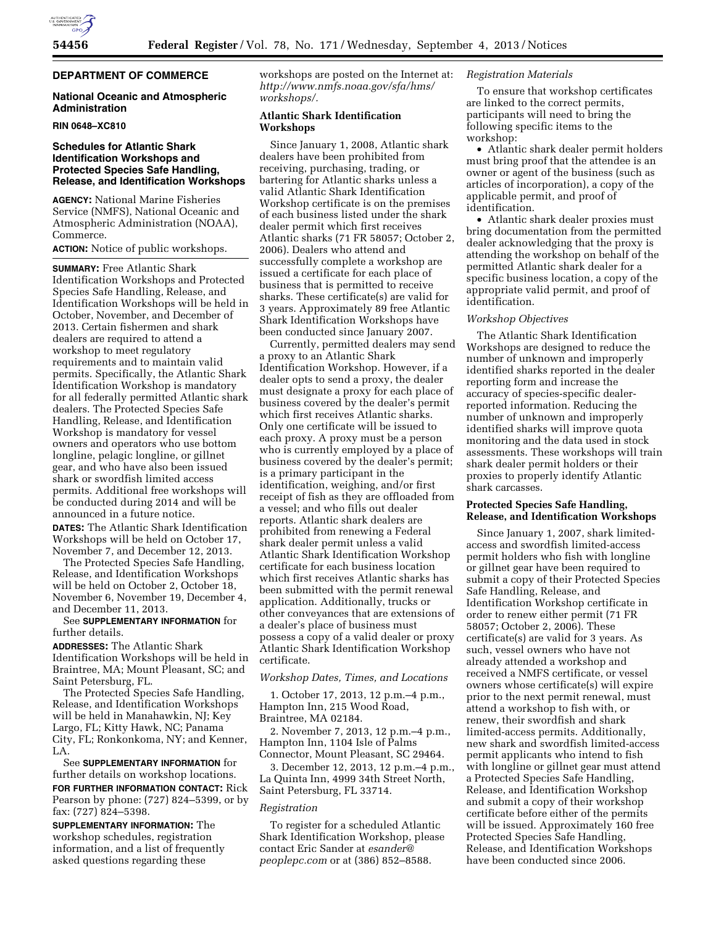

# **DEPARTMENT OF COMMERCE**

# **National Oceanic and Atmospheric Administration**

#### **RIN 0648–XC810**

# **Schedules for Atlantic Shark Identification Workshops and Protected Species Safe Handling, Release, and Identification Workshops**

**AGENCY:** National Marine Fisheries Service (NMFS), National Oceanic and Atmospheric Administration (NOAA), Commerce.

#### **ACTION:** Notice of public workshops.

**SUMMARY:** Free Atlantic Shark Identification Workshops and Protected Species Safe Handling, Release, and Identification Workshops will be held in October, November, and December of 2013. Certain fishermen and shark dealers are required to attend a workshop to meet regulatory requirements and to maintain valid permits. Specifically, the Atlantic Shark Identification Workshop is mandatory for all federally permitted Atlantic shark dealers. The Protected Species Safe Handling, Release, and Identification Workshop is mandatory for vessel owners and operators who use bottom longline, pelagic longline, or gillnet gear, and who have also been issued shark or swordfish limited access permits. Additional free workshops will be conducted during 2014 and will be announced in a future notice.

**DATES:** The Atlantic Shark Identification Workshops will be held on October 17, November 7, and December 12, 2013.

The Protected Species Safe Handling, Release, and Identification Workshops will be held on October 2, October 18, November 6, November 19, December 4, and December 11, 2013.

# See **SUPPLEMENTARY INFORMATION** for further details.

**ADDRESSES:** The Atlantic Shark Identification Workshops will be held in Braintree, MA; Mount Pleasant, SC; and Saint Petersburg, FL.

The Protected Species Safe Handling, Release, and Identification Workshops will be held in Manahawkin, NJ; Key Largo, FL; Kitty Hawk, NC; Panama City, FL; Ronkonkoma, NY; and Kenner, LA.

See **SUPPLEMENTARY INFORMATION** for further details on workshop locations.

**FOR FURTHER INFORMATION CONTACT:** Rick Pearson by phone: (727) 824–5399, or by fax: (727) 824–5398.

**SUPPLEMENTARY INFORMATION:** The workshop schedules, registration information, and a list of frequently asked questions regarding these

workshops are posted on the Internet at: *[http://www.nmfs.noaa.gov/sfa/hms/](http://www.nmfs.noaa.gov/sfa/hms/workshops/) [workshops/.](http://www.nmfs.noaa.gov/sfa/hms/workshops/)* 

### **Atlantic Shark Identification Workshops**

Since January 1, 2008, Atlantic shark dealers have been prohibited from receiving, purchasing, trading, or bartering for Atlantic sharks unless a valid Atlantic Shark Identification Workshop certificate is on the premises of each business listed under the shark dealer permit which first receives Atlantic sharks (71 FR 58057; October 2, 2006). Dealers who attend and successfully complete a workshop are issued a certificate for each place of business that is permitted to receive sharks. These certificate(s) are valid for 3 years. Approximately 89 free Atlantic Shark Identification Workshops have been conducted since January 2007.

Currently, permitted dealers may send a proxy to an Atlantic Shark Identification Workshop. However, if a dealer opts to send a proxy, the dealer must designate a proxy for each place of business covered by the dealer's permit which first receives Atlantic sharks. Only one certificate will be issued to each proxy. A proxy must be a person who is currently employed by a place of business covered by the dealer's permit; is a primary participant in the identification, weighing, and/or first receipt of fish as they are offloaded from a vessel; and who fills out dealer reports. Atlantic shark dealers are prohibited from renewing a Federal shark dealer permit unless a valid Atlantic Shark Identification Workshop certificate for each business location which first receives Atlantic sharks has been submitted with the permit renewal application. Additionally, trucks or other conveyances that are extensions of a dealer's place of business must possess a copy of a valid dealer or proxy Atlantic Shark Identification Workshop certificate.

#### *Workshop Dates, Times, and Locations*

1. October 17, 2013, 12 p.m.–4 p.m., Hampton Inn, 215 Wood Road, Braintree, MA 02184.

2. November 7, 2013, 12 p.m.–4 p.m., Hampton Inn, 1104 Isle of Palms Connector, Mount Pleasant, SC 29464.

3. December 12, 2013, 12 p.m.–4 p.m., La Quinta Inn, 4999 34th Street North, Saint Petersburg, FL 33714.

#### *Registration*

To register for a scheduled Atlantic Shark Identification Workshop, please contact Eric Sander at *[esander@](mailto:esander@peoplepc.com) [peoplepc.com](mailto:esander@peoplepc.com)* or at (386) 852–8588.

# *Registration Materials*

To ensure that workshop certificates are linked to the correct permits, participants will need to bring the following specific items to the workshop:

• Atlantic shark dealer permit holders must bring proof that the attendee is an owner or agent of the business (such as articles of incorporation), a copy of the applicable permit, and proof of identification.

• Atlantic shark dealer proxies must bring documentation from the permitted dealer acknowledging that the proxy is attending the workshop on behalf of the permitted Atlantic shark dealer for a specific business location, a copy of the appropriate valid permit, and proof of identification.

### *Workshop Objectives*

The Atlantic Shark Identification Workshops are designed to reduce the number of unknown and improperly identified sharks reported in the dealer reporting form and increase the accuracy of species-specific dealerreported information. Reducing the number of unknown and improperly identified sharks will improve quota monitoring and the data used in stock assessments. These workshops will train shark dealer permit holders or their proxies to properly identify Atlantic shark carcasses.

### **Protected Species Safe Handling, Release, and Identification Workshops**

Since January 1, 2007, shark limitedaccess and swordfish limited-access permit holders who fish with longline or gillnet gear have been required to submit a copy of their Protected Species Safe Handling, Release, and Identification Workshop certificate in order to renew either permit (71 FR 58057; October 2, 2006). These certificate(s) are valid for 3 years. As such, vessel owners who have not already attended a workshop and received a NMFS certificate, or vessel owners whose certificate(s) will expire prior to the next permit renewal, must attend a workshop to fish with, or renew, their swordfish and shark limited-access permits. Additionally, new shark and swordfish limited-access permit applicants who intend to fish with longline or gillnet gear must attend a Protected Species Safe Handling, Release, and Identification Workshop and submit a copy of their workshop certificate before either of the permits will be issued. Approximately 160 free Protected Species Safe Handling, Release, and Identification Workshops have been conducted since 2006.